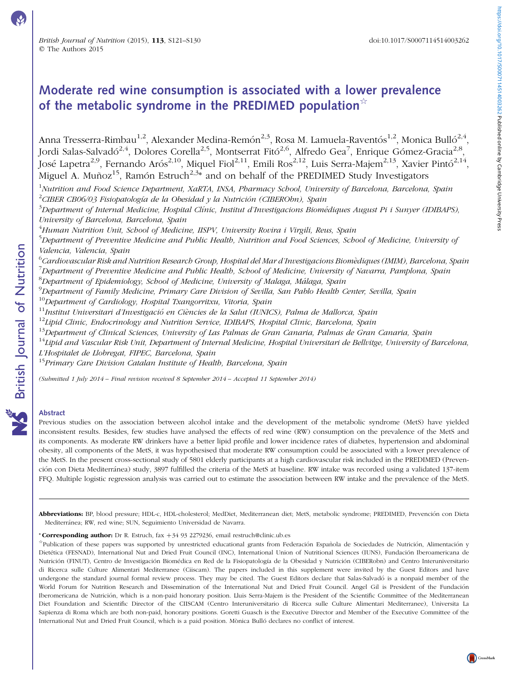# Moderate red wine consumption is associated with a lower prevalence of the metabolic syndrome in the PREDIMED population<sup> $\dot{\alpha}$ </sup>

Anna Tresserra-Rimbau $^{1,2}$ , Alexander Medina-Remón $^{2,3}$ , Rosa M. Lamuela-Raventós $^{1,2}$ , Monica Bulló $^{2,4},$ Jordi Salas-Salvadó $^{2,4}$ , Dolores Corella $^{2,5}$ , Montserrat Fitó $^{2,6}$ , Alfredo Gea $^7$ , Enrique Gómez-Gracia $^{2,8},$ José Lapetra<sup>2,9</sup>, Fernando Arós<sup>2,10</sup>, Miquel Fiol<sup>2,11</sup>, Emili Ros<sup>2,12</sup>, Luis Serra-Majem<sup>2,13</sup>, Xavier Pintó<sup>2,14</sup>, Miguel A. Muñoz<sup>15</sup>, Ramón Estruch<sup>2,3\*</sup> and on behalf of the PREDIMED Study Investigators

<sup>1</sup>Nutrition and Food Science Department, XaRTA, INSA, Pharmacy School, University of Barcelona, Barcelona, Spain  $^{2}$ CIBER CB06/03 Fisiopatología de la Obesidad y la Nutrición (CIBERObn), Spain

 $^3$ Department of Internal Medicine, Hospital Clínic, Institut d'Investigacions Biomédiques August Pi i Sunyer (IDIBAPS), University of Barcelona, Barcelona, Spain

<sup>4</sup>Human Nutrition Unit, School of Medicine, IISPV, University Rovira i Virgili, Reus, Spain

<sup>5</sup>Department of Preventive Medicine and Public Health, Nutrition and Food Sciences, School of Medicine, University oj Valencia, Valencia, Spain

<sup>6</sup>Cardiovascular Risk and Nutrition Research Group, Hospital del Mar d'Investigacions Biomèdiques (IMIM), Barcelona, Spain<br><sup>7</sup> Department of Preventive Medicine and Public Health, School of Medicine, University of Navarra  $^7$ Department of Preventive Medicine and Public Health, School of Medicine, University of Navarra, Pamplona, Spain

<sup>8</sup>Department of Epidemiology, School of Medicine, University of Malaga, Málaga, Spain

<sup>9</sup>Department of Family Medicine, Primary Care Division of Sevilla, San Pablo Health Center, Sevilla, Spain

 $10$ Department of Cardiology, Hospital Txangorritxu, Vitoria, Spain

 $11$ Institut Universitari d'Investigació en Ciències de la Salut (IUNICS), Palma de Mallorca, Spain

- $^{12}$ Lipid Clinic, Endocrinology and Nutrition Service, IDIBAPS, Hospital Clinic, Barcelona, Spain
- <sup>13</sup>Department of Clinical Sciences, University of Las Palmas de Gran Canaria, Palmas de Gran Canaria, Spain
- $14$ Lipid and Vascular Risk Unit, Department of Internal Medicine, Hospital Universitari de Bellvitge, University of Barcelona,

L'Hospitalet de Llobregat, FIPEC, Barcelona, Spain

<sup>15</sup>Primary Care Division Catalan Institute of Health, Barcelona, Spain

(Submitted 1 July 2014 – Final revision received 8 September 2014 – Accepted 11 September 2014)

#### Abstract

Previous studies on the association between alcohol intake and the development of the metabolic syndrome (MetS) have yielded inconsistent results. Besides, few studies have analysed the effects of red wine (RW) consumption on the prevalence of the MetS and its components. As moderate RW drinkers have a better lipid profile and lower incidence rates of diabetes, hypertension and abdominal obesity, all components of the MetS, it was hypothesised that moderate RW consumption could be associated with a lower prevalence of the MetS. In the present cross-sectional study of 5801 elderly participants at a high cardiovascular risk included in the PREDIMED (Prevención con Dieta Mediterránea) study, 3897 fulfilled the criteria of the MetS at baseline. RW intake was recorded using a validated 137-item FFQ. Multiple logistic regression analysis was carried out to estimate the association between RW intake and the prevalence of the MetS.

Abbreviations: BP, blood pressure; HDL-c, HDL-cholesterol; MedDiet, Mediterranean diet; MetS, metabolic syndrome; PREDIMED, Prevención con Dieta Mediterránea; RW, red wine; SUN, Seguimiento Universidad de Navarra.

\* Corresponding author: Dr R. Estruch, fax  $+34$  93 2279236, email restruch@clinic.ub.es

\*Publication of these papers was supported by unrestricted educational grants from Federación Española de Sociedades de Nutrición, Alimentación y Dietética (FESNAD), International Nut and Dried Fruit Council (INC), International Union of Nutritional Sciences (IUNS), Fundación Iberoamericana de Nutrición (FINUT), Centro de Investigación Biomédica en Red de la Fisiopatología de la Obesidad y Nutrición (CIBERobn) and Centro Interuniversitario di Ricerca sulle Culture Alimentari Mediterranee (Ciiscam). The papers included in this supplement were invited by the Guest Editors and have undergone the standard journal formal review process. They may be cited. The Guest Editors declare that Salas-Salvadó is a nonpaid member of the World Forum for Nutrition Research and Dissemination of the International Nut and Dried Fruit Council. Angel Gil is President of the Fundación Iberomericana de Nutrición, which is a non-paid honorary position. Lluis Serra-Majem is the President of the Scientific Committee of the Mediterranean Diet Foundation and Scientific Director of the CIISCAM (Centro Interuniversitario di Ricerca sulle Culture Alimentari Mediterranee), Universita La Sapienza di Roma which are both non-paid, honorary positions. Goretti Guasch is the Executive Director and Member of the Executive Committee of the International Nut and Dried Fruit Council, which is a paid position. Mònica Bulló declares no conflict of interest.

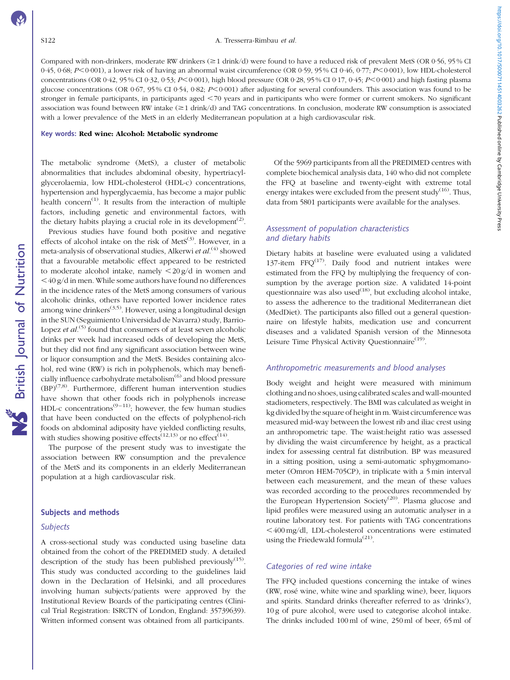Compared with non-drinkers, moderate RW drinkers ( $\geq 1$  drink/d) were found to have a reduced risk of prevalent MetS (OR 0·56, 95% CI 0.45, 0.68;  $P \le 0.001$ ), a lower risk of having an abnormal waist circumference (OR 0.59, 95% CI 0.46, 0.77;  $P \le 0.001$ ), low HDL-cholesterol concentrations (OR 0·42, 95 % CI 0·32, 0·53; P<0·001), high blood pressure (OR 0·28, 95 % CI 0·17, 0·45; P<0·001) and high fasting plasma glucose concentrations (OR 0·67, 95 % CI 0·54, 0·82;  $P$ <0·001) after adjusting for several confounders. This association was found to be stronger in female participants, in participants aged <70 years and in participants who were former or current smokers. No significant association was found between RW intake ( $\geq 1$  drink/d) and TAG concentrations. In conclusion, moderate RW consumption is associated with a lower prevalence of the MetS in an elderly Mediterranean population at a high cardiovascular risk.

#### Key words: Red wine: Alcohol: Metabolic syndrome

The metabolic syndrome (MetS), a cluster of metabolic abnormalities that includes abdominal obesity, hypertriacylglycerolaemia, low HDL-cholesterol (HDL-c) concentrations, hypertension and hyperglycaemia, has become a major public health concern<sup> $(1)$ </sup>. It results from the interaction of multiple factors, including genetic and environmental factors, with the dietary habits playing a crucial role in its development<sup>(2)</sup>.

Previous studies have found both positive and negative effects of alcohol intake on the risk of MetS<sup>(3)</sup>. However, in a meta-analysis of observational studies, Alkerwi et  $al^{(4)}$  showed that a favourable metabolic effect appeared to be restricted to moderate alcohol intake, namely  $\langle 20 \text{ g/d} \rangle$  in women and  $<$ 40 g/d in men. While some authors have found no differences in the incidence rates of the MetS among consumers of various alcoholic drinks, others have reported lower incidence rates among wine drinkers<sup> $(3,5)$ </sup>. However, using a longitudinal design in the SUN (Seguimiento Universidad de Navarra) study, Barrio-Lopez et  $al$ .<sup>(5)</sup> found that consumers of at least seven alcoholic drinks per week had increased odds of developing the MetS, but they did not find any significant association between wine or liquor consumption and the MetS. Besides containing alcohol, red wine (RW) is rich in polyphenols, which may beneficially influence carbohydrate metabolism $^{(6)}$  and blood pressure  $(BP)^{(7,8)}$ . Furthermore, different human intervention studies have shown that other foods rich in polyphenols increase HDL-c concentrations<sup>(9-11)</sup>; however, the few human studies that have been conducted on the effects of polyphenol-rich foods on abdominal adiposity have yielded conflicting results, with studies showing positive effects<sup> $(12,13)$ </sup> or no effect<sup> $(14)$ </sup>.

The purpose of the present study was to investigate the association between RW consumption and the prevalence of the MetS and its components in an elderly Mediterranean population at a high cardiovascular risk.

#### Subjects and methods

#### **Subjects**

A cross-sectional study was conducted using baseline data obtained from the cohort of the PREDIMED study. A detailed description of the study has been published previously $(15)$ . This study was conducted according to the guidelines laid down in the Declaration of Helsinki, and all procedures involving human subjects/patients were approved by the Institutional Review Boards of the participating centres (Clinical Trial Registration: ISRCTN of London, England: 35739639). Written informed consent was obtained from all participants.

Of the 5969 participants from all the PREDIMED centres with complete biochemical analysis data, 140 who did not complete the FFQ at baseline and twenty-eight with extreme total energy intakes were excluded from the present study<sup>(16)</sup>. Thus, data from 5801 participants were available for the analyses.

## Assessment of population characteristics and dietary habits

Dietary habits at baseline were evaluated using a validated 137-item FFQ<sup>(17)</sup>. Daily food and nutrient intakes were estimated from the FFQ by multiplying the frequency of consumption by the average portion size. A validated 14-point questionnaire was also used $^{(18)}$ , but excluding alcohol intake, to assess the adherence to the traditional Mediterranean diet (MedDiet). The participants also filled out a general questionnaire on lifestyle habits, medication use and concurrent diseases and a validated Spanish version of the Minnesota Leisure Time Physical Activity Questionnaire<sup> $(19)$ </sup>.

#### Anthropometric measurements and blood analyses

Body weight and height were measured with minimum clothing and no shoes, using calibrated scales and wall-mounted stadiometers, respectively. The BMI was calculated as weight in kg divided by the square of height in m. Waist circumference was measured mid-way between the lowest rib and iliac crest using an anthropometric tape. The waist:height ratio was assessed by dividing the waist circumference by height, as a practical index for assessing central fat distribution. BP was measured in a sitting position, using a semi-automatic sphygmomanometer (Omron HEM-705CP), in triplicate with a 5 min interval between each measurement, and the mean of these values was recorded according to the procedures recommended by the European Hypertension Society<sup>(20)</sup>. Plasma glucose and lipid profiles were measured using an automatic analyser in a routine laboratory test. For patients with TAG concentrations ,400 mg/dl, LDL-cholesterol concentrations were estimated using the Friedewald formula<sup>(21)</sup>.

#### Categories of red wine intake

The FFQ included questions concerning the intake of wines (RW, rose´ wine, white wine and sparkling wine), beer, liquors and spirits. Standard drinks (hereafter referred to as 'drinks'), 10 g of pure alcohol, were used to categorise alcohol intake. The drinks included 100 ml of wine, 250 ml of beer, 65 ml of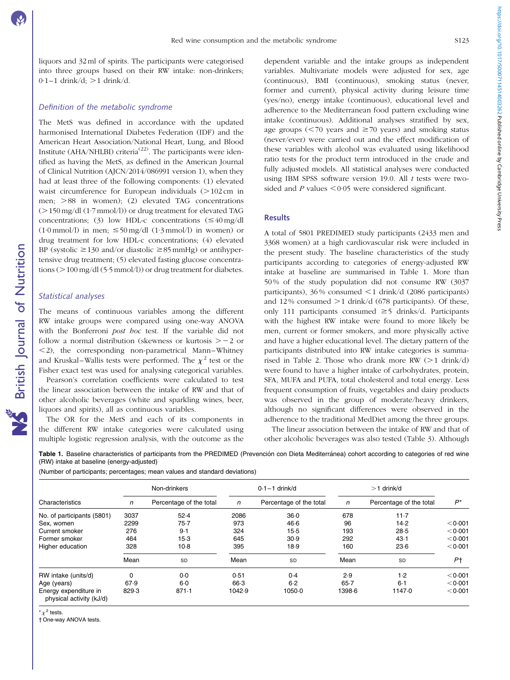liquors and 32 ml of spirits. The participants were categorised into three groups based on their RW intake: non-drinkers;  $0.1-1$  drink/d;  $>1$  drink/d.

#### Definition of the metabolic syndrome

The MetS was defined in accordance with the updated harmonised International Diabetes Federation (IDF) and the American Heart Association/National Heart, Lung, and Blood Institute ( $AHA/NHLBI$ ) criteria<sup>(22)</sup>. The participants were identified as having the MetS, as defined in the American Journal of Clinical Nutrition (AJCN/2014/086991 version 1), when they had at least three of the following components: (1) elevated waist circumference for European individuals  $(>102 \text{ cm}$  in men;  $>88$  in women); (2) elevated TAG concentrations  $(>150 \text{ mg/dl} (1.7 \text{ mmol/l}))$  or drug treatment for elevated TAG concentrations; (3) low HDL-c concentrations  $(\leq 40 \text{ mg/d})$  $(1.0 \text{ mmol/l})$  in men;  $\leq 50 \text{ mg/dl}$   $(1.3 \text{ mmol/l})$  in women) or drug treatment for low HDL-c concentrations; (4) elevated BP (systolic  $\geq$  130 and/or diastolic  $\geq$  85 mmHg) or antihypertensive drug treatment; (5) elevated fasting glucose concentrations  $(>100 \text{ mg/dl} (5.5 \text{ mmol/l}))$  or drug treatment for diabetes.

### Statistical analyses

The means of continuous variables among the different RW intake groups were compared using one-way ANOVA with the Bonferroni *post hoc* test. If the variable did not follow a normal distribution (skewness or kurtosis  $\geq -2$  or  $<$ 2), the corresponding non-parametrical Mann–Whitney and Kruskal–Wallis tests were performed. The  $\chi^2$  test or the Fisher exact test was used for analysing categorical variables.

Pearson's correlation coefficients were calculated to test the linear association between the intake of RW and that of other alcoholic beverages (white and sparkling wines, beer, liquors and spirits), all as continuous variables.

The OR for the MetS and each of its components in the different RW intake categories were calculated using multiple logistic regression analysis, with the outcome as the dependent variable and the intake groups as independent variables. Multivariate models were adjusted for sex, age (continuous), BMI (continuous), smoking status (never, former and current), physical activity during leisure time (yes/no), energy intake (continuous), educational level and adherence to the Mediterranean food pattern excluding wine intake (continuous). Additional analyses stratified by sex, age groups ( $<70$  years and  $\geq 70$  years) and smoking status (never/ever) were carried out and the effect modification of these variables with alcohol was evaluated using likelihood ratio tests for the product term introduced in the crude and fully adjusted models. All statistical analyses were conducted using IBM SPSS software version 19.0. All  $t$  tests were twosided and  $P$  values <0.05 were considered significant.

#### **Results**

A total of 5801 PREDIMED study participants (2433 men and 3368 women) at a high cardiovascular risk were included in the present study. The baseline characteristics of the study participants according to categories of energy-adjusted RW intake at baseline are summarised in Table 1. More than 50 % of the study population did not consume RW (3037 participants),  $36\%$  consumed  $\leq 1$  drink/d (2086 participants) and 12% consumed  $>1$  drink/d (678 participants). Of these, only 111 participants consumed  $\geq$  5 drinks/d. Participants with the highest RW intake were found to more likely be men, current or former smokers, and more physically active and have a higher educational level. The dietary pattern of the participants distributed into RW intake categories is summa-rised in [Table 2](#page-3-0). Those who drank more RW  $(>1$  drink/d) were found to have a higher intake of carbohydrates, protein, SFA, MUFA and PUFA, total cholesterol and total energy. Less frequent consumption of fruits, vegetables and dairy products was observed in the group of moderate/heavy drinkers, although no significant differences were observed in the adherence to the traditional MedDiet among the three groups.

The linear association between the intake of RW and that of other alcoholic beverages was also tested [\(Table 3\)](#page-3-0). Although

Table 1. Baseline characteristics of participants from the PREDIMED (Prevención con Dieta Mediterránea) cohort according to categories of red wine (RW) intake at baseline (energy-adjusted)

(Number of participants; percentages; mean values and standard deviations)

|                                                   | Non-drinkers |                         |              | $0.1 - 1$ drink/d       |              |                         |         |
|---------------------------------------------------|--------------|-------------------------|--------------|-------------------------|--------------|-------------------------|---------|
| Characteristics                                   | n            | Percentage of the total | $\mathsf{n}$ | Percentage of the total | $\mathsf{n}$ | Percentage of the total | $P^*$   |
| No. of participants (5801)                        | 3037         | $52-4$                  | 2086         | $36-0$                  | 678          | $11-7$                  |         |
| Sex, women                                        | 2299         | $75-7$                  | 973          | $46-6$                  | 96           | 14.2                    | < 0.001 |
| Current smoker                                    | 276          | 9.1                     | 324          | $15-5$                  | 193          | 28.5                    | < 0.001 |
| Former smoker                                     | 464          | $15-3$                  | 645          | 30.9                    | 292          | 43.1                    | < 0.001 |
| Higher education                                  | 328          | $10-8$                  | 395          | 18.9                    | 160          | 23.6                    | < 0.001 |
|                                                   | Mean         | SD                      | Mean         | <b>SD</b>               | Mean         | <b>SD</b>               | Pt      |
| RW intake (units/d)                               | $\Omega$     | 0.0                     | 0.51         | 0.4                     | 2.9          | 1.2                     | < 0.001 |
| Age (years)                                       | 67.9         | $6 - 0$                 | 66.3         | 6.2                     | $65 - 7$     | $6-1$                   | < 0.001 |
| Energy expenditure in<br>physical activity (kJ/d) | 829.3        | 871.1                   | 1042.9       | 1050.0                  | 1398-6       | 1147.0                  | < 0.001 |

 $x^2$  tests.

† One-way ANOVA tests.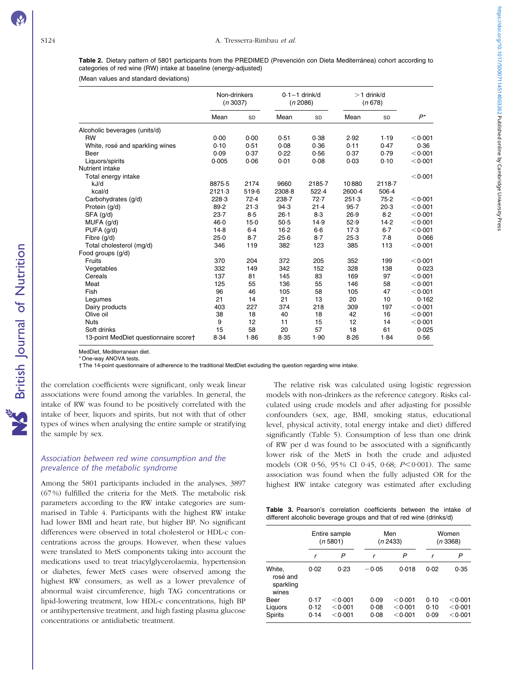| editerránea) coho |
|-------------------|
| $>1$ drink/d      |

<span id="page-3-0"></span>Table 2. Dietary pattern of 5801 participants from the PREDIMED (Prevención con Dieta Mediterránea) cohort according to categories of red wine (RW) intake at baseline (energy-adjusted)

(Mean values and standard deviations)

|                                       | Non-drinkers<br>(n3037) |           | $0.1 - 1$ drink/d<br>(n 2086) |            | $>1$ drink/d<br>(n 678) |         |         |  |
|---------------------------------------|-------------------------|-----------|-------------------------------|------------|-------------------------|---------|---------|--|
|                                       | Mean                    | <b>SD</b> | Mean                          | <b>SD</b>  | Mean                    | SD      | $P^*$   |  |
| Alcoholic beverages (units/d)         |                         |           |                               |            |                         |         |         |  |
| <b>RW</b>                             | 0.00                    | 0.00      | 0.51                          | 0.38       | 2.92                    | 1.19    | < 0.001 |  |
| White, rosé and sparkling wines       | 0.10                    | 0.51      | 0.08                          | 0.36       | 0.11                    | 0.47    | 0.36    |  |
| Beer                                  | 0.09                    | 0.37      | 0.22                          | 0.56       | 0.37                    | 0.79    | < 0.001 |  |
| Liquors/spirits                       | 0.005                   | 0.06      | 0.01                          | 0.08       | 0.03                    | 0.10    | < 0.001 |  |
| Nutrient intake                       |                         |           |                               |            |                         |         |         |  |
| Total energy intake                   |                         |           |                               |            |                         |         | < 0.001 |  |
| kJ/d                                  | 8875-5                  | 2174      | 9660                          | $2185 - 7$ | 10880                   | 2118-7  |         |  |
| kcal/d                                | 2121-3                  | 519-6     | 2308-8                        | 522.4      | 2600-4                  | $506-4$ |         |  |
| Carbohydrates (g/d)                   | 228-3                   | 72.4      | 238-7                         | 72.7       | 251.3                   | 75.2    | < 0.001 |  |
| Protein (g/d)                         | 89.2                    | 21.3      | 94.3                          | $21-4$     | $95 - 7$                | 20.3    | < 0.001 |  |
| SFA (g/d)                             | 23.7                    | $8 - 5$   | $26 - 1$                      | 8.3        | 26.9                    | 8.2     | < 0.001 |  |
| MUFA (g/d)                            | 46.0                    | $15-0$    | $50-5$                        | 14.9       | 52.9                    | 14.2    | < 0.001 |  |
| PUFA (g/d)                            | $14-8$                  | $6-4$     | $16-2$                        | $6-6$      | 17.3                    | $6 - 7$ | < 0.001 |  |
| Fibre (g/d)                           | 25.0                    | $8-7$     | $25-6$                        | $8-7$      | $25-3$                  | 7.8     | 0.066   |  |
| Total cholesterol (mg/d)              | 346                     | 119       | 382                           | 123        | 385                     | 113     | < 0.001 |  |
| Food groups (g/d)                     |                         |           |                               |            |                         |         |         |  |
| Fruits                                | 370                     | 204       | 372                           | 205        | 352                     | 199     | < 0.001 |  |
| Vegetables                            | 332                     | 149       | 342                           | 152        | 328                     | 138     | 0.023   |  |
| Cereals                               | 137                     | 81        | 145                           | 83         | 169                     | 97      | < 0.001 |  |
| Meat                                  | 125                     | 55        | 136                           | 55         | 146                     | 58      | < 0.001 |  |
| <b>Fish</b>                           | 96                      | 46        | 105                           | 58         | 105                     | 47      | < 0.001 |  |
| Legumes                               | 21                      | 14        | 21                            | 13         | 20                      | 10      | 0.162   |  |
| Dairy products                        | 403                     | 227       | 374                           | 218        | 309                     | 197     | < 0.001 |  |
| Olive oil                             | 38                      | 18        | 40                            | 18         | 42                      | 16      | < 0.001 |  |
| <b>Nuts</b>                           | 9                       | 12        | 11                            | 15         | 12                      | 14      | < 0.001 |  |
| Soft drinks                           | 15                      | 58        | 20                            | 57         | 18                      | 61      | 0.025   |  |
| 13-point MedDiet questionnaire scoret | 8.34                    | 1.86      | 8.35                          | 1.90       | 8.26                    | 1.84    | 0.56    |  |

MedDiet, Mediterranean diet.

\* One-way ANOVA tests.

† The 14-point questionnaire of adherence to the traditional MedDiet excluding the question regarding wine intake.

the correlation coefficients were significant, only weak linear associations were found among the variables. In general, the intake of RW was found to be positively correlated with the intake of beer, liquors and spirits, but not with that of other types of wines when analysing the entire sample or stratifying the sample by sex.

# Association between red wine consumption and the prevalence of the metabolic syndrome

Among the 5801 participants included in the analyses, 3897 (67 %) fulfilled the criteria for the MetS. The metabolic risk parameters according to the RW intake categories are summarised in [Table 4](#page-4-0). Participants with the highest RW intake had lower BMI and heart rate, but higher BP. No significant differences were observed in total cholesterol or HDL-c concentrations across the groups. However, when these values were translated to MetS components taking into account the medications used to treat triacylglycerolaemia, hypertension or diabetes, fewer MetS cases were observed among the highest RW consumers, as well as a lower prevalence of abnormal waist circumference, high TAG concentrations or lipid-lowering treatment, low HDL-c concentrations, high BP or antihypertensive treatment, and high fasting plasma glucose concentrations or antidiabetic treatment.

The relative risk was calculated using logistic regression models with non-drinkers as the reference category. Risks calculated using crude models and after adjusting for possible confounders (sex, age, BMI, smoking status, educational level, physical activity, total energy intake and diet) differed significantly [\(Table 5\)](#page-5-0). Consumption of less than one drink of RW per d was found to be associated with a significantly lower risk of the MetS in both the crude and adjusted models (OR 0.56, 95% CI 0.45, 0.68;  $P < 0.001$ ). The same association was found when the fully adjusted OR for the highest RW intake category was estimated after excluding

Table 3. Pearson's correlation coefficients between the intake of different alcoholic beverage groups and that of red wine (drinks/d)

|                                          |              | Entire sample<br>(n 5801) |              | Men<br>(n2433)     | Women<br>(n3368) |                    |  |
|------------------------------------------|--------------|---------------------------|--------------|--------------------|------------------|--------------------|--|
|                                          | r            | P                         | r            | P                  | r                | P                  |  |
| White.<br>rosé and<br>sparkling<br>wines | 0.02         | 0.23                      | $-0.05$      | 0.018              | 0.02             | 0.35               |  |
| Beer<br>Liguors                          | 0.17<br>0.12 | < 0.001<br>< 0.001        | 0.09<br>0.08 | < 0.001<br>< 0.001 | 0.10<br>0.10     | < 0.001<br>< 0.001 |  |
| Spirits                                  | 0.14         | < 0.001                   | 0.08         | < 0.001            | 0.09             | < 0.001            |  |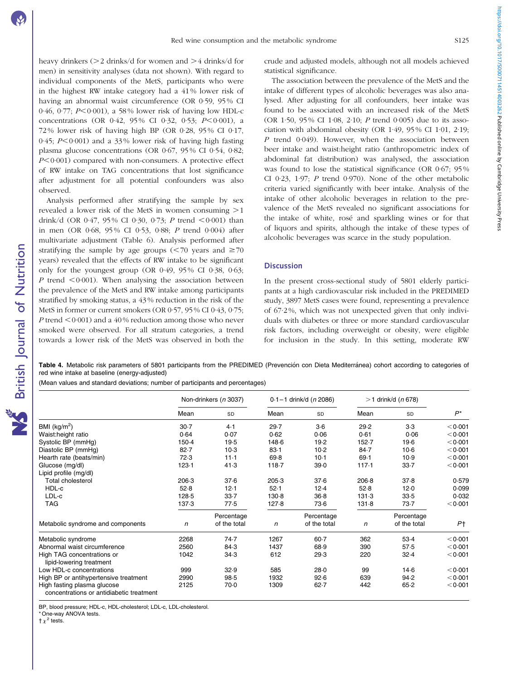British Journal of Nutrition

**NS** British Journal of Nutrition

<span id="page-4-0"></span>heavy drinkers ( $>$ 2 drinks/d for women and  $>$ 4 drinks/d for men) in sensitivity analyses (data not shown). With regard to individual components of the MetS, participants who were in the highest RW intake category had a 41 % lower risk of having an abnormal waist circumference (OR 0·59, 95 % CI 0.46, 0.77;  $P \le 0.001$ ), a 58% lower risk of having low HDL-c concentrations (OR 0.42, 95% CI 0.32, 0.53;  $P < 0.001$ ), a 72 % lower risk of having high BP (OR 0·28, 95 % CI 0·17, 0.45;  $P<0.001$ ) and a 33% lower risk of having high fasting plasma glucose concentrations (OR 0·67, 95 % CI 0·54, 0·82;  $P<0.001$ ) compared with non-consumers. A protective effect of RW intake on TAG concentrations that lost significance after adjustment for all potential confounders was also observed.

Analysis performed after stratifying the sample by sex revealed a lower risk of the MetS in women consuming  $>1$ drink/d (OR 0.47, 95% CI 0.30, 0.73; P trend <0.001) than in men (OR 0·68, 95 % CI 0·53, 0·88; P trend 0·004) after multivariate adjustment [\(Table 6\)](#page-6-0). Analysis performed after stratifying the sample by age groups ( $\leq$ 70 years and  $\geq$ 70 years) revealed that the effects of RW intake to be significant only for the youngest group (OR  $0.49$ ,  $95\%$  CI  $0.38$ ,  $0.63$ ; P trend  $<0.001$ ). When analysing the association between the prevalence of the MetS and RW intake among participants stratified by smoking status, a 43 % reduction in the risk of the MetS in former or current smokers (OR 0·57, 95 % CI 0·43, 0·75; P trend  $\leq 0.001$ ) and a 40% reduction among those who never smoked were observed. For all stratum categories, a trend towards a lower risk of the MetS was observed in both the crude and adjusted models, although not all models achieved statistical significance.

The association between the prevalence of the MetS and the intake of different types of alcoholic beverages was also analysed. After adjusting for all confounders, beer intake was found to be associated with an increased risk of the MetS (OR 1·50, 95 % CI 1·08, 2·10; P trend 0·005) due to its association with abdominal obesity (OR 1·49, 95 % CI 1·01, 2·19;  $P$  trend 0.049). However, when the association between beer intake and waist:height ratio (anthropometric index of abdominal fat distribution) was analysed, the association was found to lose the statistical significance (OR 0·67; 95 % CI 0.23, 1.97;  $P$  trend 0.970). None of the other metabolic criteria varied significantly with beer intake. Analysis of the intake of other alcoholic beverages in relation to the prevalence of the MetS revealed no significant associations for the intake of white, rosé and sparkling wines or for that of liquors and spirits, although the intake of these types of alcoholic beverages was scarce in the study population.

## **Discussion**

In the present cross-sectional study of 5801 elderly participants at a high cardiovascular risk included in the PREDIMED study, 3897 MetS cases were found, representing a prevalence of 67·2 %, which was not unexpected given that only individuals with diabetes or three or more standard cardiovascular risk factors, including overweight or obesity, were eligible for inclusion in the study. In this setting, moderate RW

Table 4. Metabolic risk parameters of 5801 participants from the PREDIMED (Prevención con Dieta Mediterránea) cohort according to categories of red wine intake at baseline (energy-adjusted)

(Mean values and standard deviations; number of participants and percentages)

|                                                                         | Non-drinkers (n 3037) |              | $0.1 - 1$ drink/d ( <i>n</i> 2086) |              | $>1$ drink/d ( <i>n</i> 678) |              |         |
|-------------------------------------------------------------------------|-----------------------|--------------|------------------------------------|--------------|------------------------------|--------------|---------|
|                                                                         | Mean                  | <b>SD</b>    | Mean                               | SD           | Mean                         | SD           | $P^*$   |
| BMI (kg/m <sup>2</sup> )                                                | $30-7$                | 4.1          | 29.7                               | 3·6          | 29.2                         | 3.3          | < 0.001 |
| Waist:height ratio                                                      | 0.64                  | 0.07         | 0.62                               | 0.06         | 0.61                         | 0.06         | < 0.001 |
| Systolic BP (mmHq)                                                      | $150-4$               | 19.5         | 148.6                              | 19.2         | 152.7                        | $19-6$       | < 0.001 |
| Diastolic BP (mmHg)                                                     | $82 - 7$              | $10-3$       | $83 - 1$                           | $10-2$       | $84 - 7$                     | $10-6$       | < 0.001 |
| Hearth rate (beats/min)                                                 | 72.3                  | $11 - 1$     | 69.8                               | $10-1$       | 69.1                         | 10.9         | < 0.001 |
| Glucose (mg/dl)                                                         | 123.1                 | 41.3         | 118.7                              | 39.0         | 117.1                        | $33 - 7$     | < 0.001 |
| Lipid profile (mg/dl)                                                   |                       |              |                                    |              |                              |              |         |
| <b>Total cholesterol</b>                                                | 206.3                 | 37.6         | 205.3                              | 37.6         | $206 - 8$                    | 37.8         | 0.579   |
| HDL-c                                                                   | 52.8                  | 12.1         | 52.1                               | 12.4         | 52.8                         | 12.0         | 0.099   |
| LDL-c                                                                   | 128.5                 | $33 - 7$     | 130.8                              | $36 - 8$     | 131.3                        | 33.5         | 0.032   |
| <b>TAG</b>                                                              | 137.3                 | 77.5         | 127.8                              | 73.6         | 131.8                        | 73.7         | < 0.001 |
|                                                                         |                       | Percentage   |                                    | Percentage   |                              | Percentage   |         |
| Metabolic syndrome and components                                       | n                     | of the total | $\mathsf{n}$                       | of the total | n                            | of the total | P†      |
| Metabolic syndrome                                                      | 2268                  | 74.7         | 1267                               | $60-7$       | 362                          | $53-4$       | < 0.001 |
| Abnormal waist circumference                                            | 2560                  | 84.3         | 1437                               | 68.9         | 390                          | 57.5         | < 0.001 |
| High TAG concentrations or                                              | 1042                  | 34.3         | 612                                | 29.3         | 220                          | 32.4         | < 0.001 |
| lipid-lowering treatment                                                |                       |              |                                    |              |                              |              |         |
| Low HDL-c concentrations                                                | 999                   | 32.9         | 585                                | 28.0         | 99                           | $14-6$       | < 0.001 |
| High BP or antihypertensive treatment                                   | 2990                  | 98.5         | 1932                               | 92.6         | 639                          | 94.2         | < 0.001 |
| High fasting plasma glucose<br>concentrations or antidiabetic treatment | 2125                  | 70.0         | 1309                               | $62 - 7$     | 442                          | $65-2$       | < 0.001 |

BP, blood pressure; HDL-c, HDL-cholesterol; LDL-c, LDL-cholesterol.

\* One-way ANOVA tests.

 $\frac{1}{\chi^2}$  tests.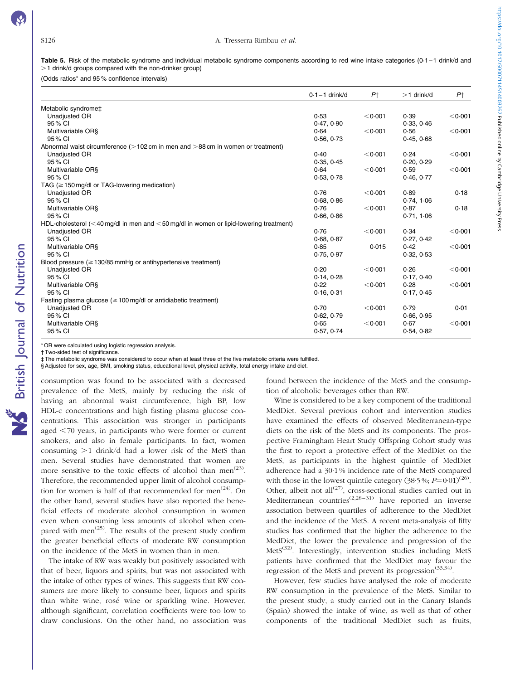#### <span id="page-5-0"></span>S126 **A. Tresserra-Rimbau** *et al.*

Table 5. Risk of the metabolic syndrome and individual metabolic syndrome components according to red wine intake categories (0.1–1 drink/d and  $>$  1 drink/d groups compared with the non-drinker group)

|                                                                                                    | $0.1 - 1$ drink/d | Ρt      | $>1$ drink/d | Pt      |
|----------------------------------------------------------------------------------------------------|-------------------|---------|--------------|---------|
| Metabolic syndrome‡                                                                                |                   |         |              |         |
| Unadjusted OR                                                                                      | 0.53              | < 0.001 | 0.39         | < 0.001 |
| 95% CI                                                                                             | 0.47, 0.90        |         | 0.33.0.46    |         |
| Multivariable OR§                                                                                  | 0.64              | < 0.001 | 0.56         | < 0.001 |
| 95% CI                                                                                             | 0.56, 0.73        |         | 0.45, 0.68   |         |
| Abnormal waist circumference ( $>102$ cm in men and $>88$ cm in women or treatment)                |                   |         |              |         |
| Unadjusted OR                                                                                      | 0.40              | < 0.001 | 0.24         | < 0.001 |
| 95% CI                                                                                             | 0.35, 0.45        |         | 0.20, 0.29   |         |
| Multivariable OR§                                                                                  | 0.64              | < 0.001 | 0.59         | < 0.001 |
| 95 % CI                                                                                            | 0.53, 0.78        |         | 0.46, 0.77   |         |
| TAG ( $\geq$ 150 mg/dl or TAG-lowering medication)                                                 |                   |         |              |         |
| Unadjusted OR                                                                                      | 0.76              | < 0.001 | 0.89         | 0.18    |
| 95% CI                                                                                             | 0.68, 0.86        |         | 0.74, 1.06   |         |
| Multivariable OR§                                                                                  | 0.76              | < 0.001 | 0.87         | 0.18    |
| 95 % CI                                                                                            | 0.66, 0.86        |         | 0.71, 1.06   |         |
| HDL-cholesterol ( $\leq$ 40 mg/dl in men and $\leq$ 50 mg/dl in women or lipid-lowering treatment) |                   |         |              |         |
| Unadjusted OR                                                                                      | 0.76              | < 0.001 | 0.34         | < 0.001 |
| 95% CI                                                                                             | 0.68, 0.87        |         | 0.27, 0.42   |         |
| Multivariable ORS                                                                                  | 0.85              | 0.015   | 0.42         | < 0.001 |
| 95% CI                                                                                             | 0.75, 0.97        |         | 0.32, 0.53   |         |
| Blood pressure ( $\geq$ 130/85 mmHg or antihypertensive treatment)                                 |                   |         |              |         |
| Unadjusted OR                                                                                      | 0.20              | < 0.001 | 0.26         | < 0.001 |
| 95% CI                                                                                             | 0.14, 0.28        |         | 0.17, 0.40   |         |
| Multivariable OR§                                                                                  | 0.22              | < 0.001 | 0.28         | < 0.001 |
| 95% CI                                                                                             | 0.16, 0.31        |         | 0.17, 0.45   |         |
| Fasting plasma glucose ( $\geq$ 100 mg/dl or antidiabetic treatment)                               |                   |         |              |         |
| Unadjusted OR                                                                                      | 0.70              | < 0.001 | 0.79         | 0.01    |
| 95 % CI                                                                                            | 0.62, 0.79        |         | 0.66, 0.95   |         |
| Multivariable OR§                                                                                  | 0.65              | < 0.001 | 0.67         | < 0.001 |
| 95% CI                                                                                             | 0.57, 0.74        |         | 0.54, 0.82   |         |

\* OR were calculated using logistic regression analysis.

(Odds ratios\* and 95 % confidence intervals)

† Two-sided test of significance.

‡ The metabolic syndrome was considered to occur when at least three of the five metabolic criteria were fulfilled.

§ Adjusted for sex, age, BMI, smoking status, educational level, physical activity, total energy intake and diet.

consumption was found to be associated with a decreased prevalence of the MetS, mainly by reducing the risk of having an abnormal waist circumference, high BP, low HDL-c concentrations and high fasting plasma glucose concentrations. This association was stronger in participants aged  $\leq$ 70 years, in participants who were former or current smokers, and also in female participants. In fact, women consuming  $>1$  drink/d had a lower risk of the MetS than men. Several studies have demonstrated that women are more sensitive to the toxic effects of alcohol than men<sup> $(23)$ </sup>. Therefore, the recommended upper limit of alcohol consumption for women is half of that recommended for men<sup> $(24)$ </sup>. On the other hand, several studies have also reported the beneficial effects of moderate alcohol consumption in women even when consuming less amounts of alcohol when compared with men<sup> $(25)$ </sup>. The results of the present study confirm the greater beneficial effects of moderate RW consumption on the incidence of the MetS in women than in men.

The intake of RW was weakly but positively associated with that of beer, liquors and spirits, but was not associated with the intake of other types of wines. This suggests that RW consumers are more likely to consume beer, liquors and spirits than white wine, rosé wine or sparkling wine. However, although significant, correlation coefficients were too low to draw conclusions. On the other hand, no association was

found between the incidence of the MetS and the consumption of alcoholic beverages other than RW.

Wine is considered to be a key component of the traditional MedDiet. Several previous cohort and intervention studies have examined the effects of observed Mediterranean-type diets on the risk of the MetS and its components. The prospective Framingham Heart Study Offspring Cohort study was the first to report a protective effect of the MedDiet on the MetS, as participants in the highest quintile of MedDiet adherence had a 30·1 % incidence rate of the MetS compared with those in the lowest quintile category  $(38.5\%; P=0.01)^{(26)}$ . Other, albeit not all<sup>(27)</sup>, cross-sectional studies carried out in Mediterranean countries<sup> $(2,28-31)$ </sup> have reported an inverse association between quartiles of adherence to the MedDiet and the incidence of the MetS. A recent meta-analysis of fifty studies has confirmed that the higher the adherence to the MedDiet, the lower the prevalence and progression of the Met $S^{(32)}$ . Interestingly, intervention studies including MetS patients have confirmed that the MedDiet may favour the regression of the MetS and prevent its progression<sup>(33,34)</sup>.

However, few studies have analysed the role of moderate RW consumption in the prevalence of the MetS. Similar to the present study, a study carried out in the Canary Islands (Spain) showed the intake of wine, as well as that of other components of the traditional MedDiet such as fruits,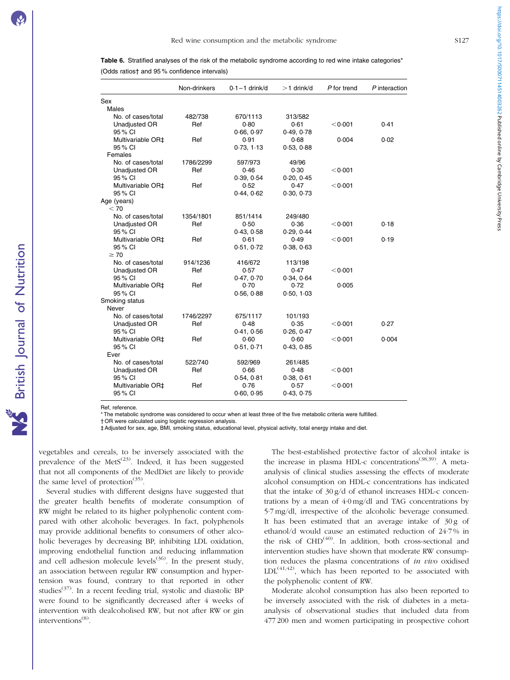<span id="page-6-0"></span>Table 6. Stratified analyses of the risk of the metabolic syndrome according to red wine intake categories\* (Odds ratios† and 95 % confidence intervals)

|                             | Non-drinkers | $0.1 - 1$ drink/d | $>1$ drink/d       | P for trend       | P interaction |
|-----------------------------|--------------|-------------------|--------------------|-------------------|---------------|
| Sex                         |              |                   |                    |                   |               |
| Males                       |              |                   |                    |                   |               |
| No. of cases/total          | 482/738      | 670/1113          | 313/582            |                   |               |
| Unadjusted OR               | Ref          | 0.80              | 0.61               | $<$ 0 $\cdot$ 001 | 0.41          |
| 95 % CI                     |              | 0.66, 0.97        | 0.49, 0.78         |                   |               |
| Multivariable OR‡           | Ref          | 0.91              | 0.68               | 0.004             | 0.02          |
| 95 % CI                     |              | 0.73, 1.13        | 0.53, 0.88         |                   |               |
| Females                     |              |                   |                    |                   |               |
| No. of cases/total          | 1786/2299    | 597/973           | 49/96              |                   |               |
| Unadjusted OR               | Ref          | 0.46              | 0.30               | $<$ 0.001         |               |
| 95 % CI                     |              | 0.39, 0.54        | 0.20, 0.45         |                   |               |
| Multivariable OR‡           | Ref          | 0.52              | 0.47               | $<$ 0.001         |               |
| 95 % CI                     |              | 0.44, 0.62        | 0.30, 0.73         |                   |               |
| Age (years)                 |              |                   |                    |                   |               |
| < 70                        |              |                   |                    |                   |               |
| No. of cases/total          | 1354/1801    | 851/1414          | 249/480            |                   |               |
| Unadjusted OR               | Ref          | 0.50              | 0.36               | < 0.001           | 0.18          |
| 95 % CI                     |              | 0.43, 0.58        | 0.29, 0.44         |                   |               |
| Multivariable OR‡           | Ref          | 0.61              | 0.49               | < 0.001           | 0.19          |
| 95 % CI                     |              | 0.51, 0.72        | 0.38, 0.63         |                   |               |
| $\geq 70$                   |              |                   |                    |                   |               |
| No. of cases/total          | 914/1236     | 416/672           | 113/198            |                   |               |
| Unadjusted OR               | Ref          | 0.57              | 0.47               | < 0.001           |               |
| 95 % CI                     |              | 0.47, 0.70        | 0.34, 0.64         |                   |               |
| Multivariable OR‡           | Ref          | 0.70              | 0.72               | 0.005             |               |
| 95 % CI                     |              | 0.56, 0.88        | 0.50, 1.03         |                   |               |
| Smoking status              |              |                   |                    |                   |               |
| Never                       |              |                   |                    |                   |               |
| No. of cases/total          | 1746/2297    | 675/1117          | 101/193            |                   |               |
| Unadjusted OR               | Ref          | 0.48              | 0.35               | < 0.001           | 0.27          |
| 95 % CI                     |              | 0.41, 0.56        | 0.26, 0.47         |                   |               |
| Multivariable OR‡           | Ref          | 0.60              | 0.60               | < 0.001           | 0.004         |
| 95 % CI<br>Ever             |              | 0.51, 0.71        | 0.43, 0.85         |                   |               |
| No. of cases/total          | 522/740      | 592/969           | 261/485            |                   |               |
|                             |              |                   |                    |                   |               |
| Unadjusted OR<br>95% CI     | Ref          | 0.66              | 0.48               | $<$ 0.001         |               |
|                             | Ref          | 0.54, 0.81        | 0.38, 0.61         |                   |               |
| Multivariable OR‡<br>95% CI |              | 0.76              | 0.57<br>0.43, 0.75 | $<$ 0.001         |               |
|                             |              | 0.60, 0.95        |                    |                   |               |

Ref, reference.

\* The metabolic syndrome was considered to occur when at least three of the five metabolic criteria were fulfilled.

† OR were calculated using logistic regression analysis.

‡ Adjusted for sex, age, BMI, smoking status, educational level, physical activity, total energy intake and diet.

vegetables and cereals, to be inversely associated with the prevalence of the Met $S^{(23)}$ . Indeed, it has been suggested that not all components of the MedDiet are likely to provide the same level of protection $(35)$ .

Several studies with different designs have suggested that the greater health benefits of moderate consumption of RW might be related to its higher polyphenolic content compared with other alcoholic beverages. In fact, polyphenols may provide additional benefits to consumers of other alcoholic beverages by decreasing BP, inhibiting LDL oxidation, improving endothelial function and reducing inflammation and cell adhesion molecule levels $(36)$ . In the present study, an association between regular RW consumption and hypertension was found, contrary to that reported in other studies<sup>(37)</sup>. In a recent feeding trial, systolic and diastolic BP were found to be significantly decreased after 4 weeks of intervention with dealcoholised RW, but not after RW or gin interventions(8).

The best-established protective factor of alcohol intake is the increase in plasma HDL-c concentrations<sup>(38,39)</sup>. A metaanalysis of clinical studies assessing the effects of moderate alcohol consumption on HDL-c concentrations has indicated that the intake of 30 g/d of ethanol increases HDL-c concentrations by a mean of 4·0 mg/dl and TAG concentrations by 5·7 mg/dl, irrespective of the alcoholic beverage consumed. It has been estimated that an average intake of 30 g of ethanol/d would cause an estimated reduction of 24·7 % in the risk of  $CHD<sup>(40)</sup>$ . In addition, both cross-sectional and intervention studies have shown that moderate RW consumption reduces the plasma concentrations of in vivo oxidised  $LDL^{(41,42)}$ , which has been reported to be associated with the polyphenolic content of RW.

Moderate alcohol consumption has also been reported to be inversely associated with the risk of diabetes in a metaanalysis of observational studies that included data from 477 200 men and women participating in prospective cohort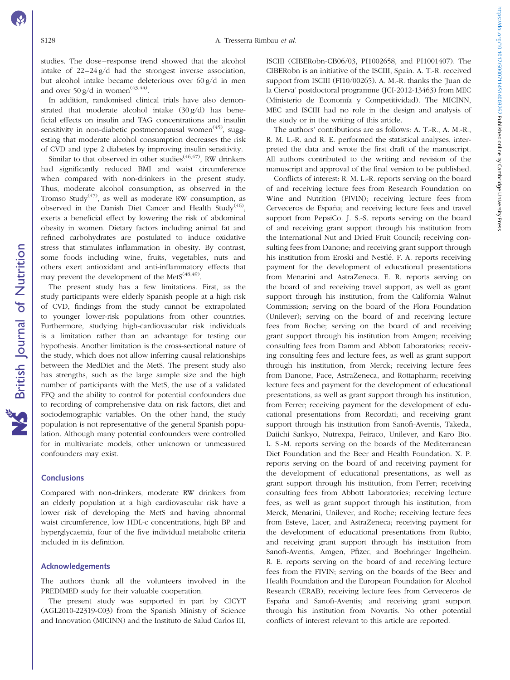studies. The dose–response trend showed that the alcohol intake of 22–24 g/d had the strongest inverse association, but alcohol intake became deleterious over 60 g/d in men and over  $50 \text{ g/d}$  in women<sup>(43,44)</sup>.

In addition, randomised clinical trials have also demonstrated that moderate alcohol intake (30 g/d) has beneficial effects on insulin and TAG concentrations and insulin sensitivity in non-diabetic postmenopausal women<sup> $(45)$ </sup>, suggesting that moderate alcohol consumption decreases the risk of CVD and type 2 diabetes by improving insulin sensitivity.

Similar to that observed in other studies<sup>(46,47)</sup>, RW drinkers had significantly reduced BMI and waist circumference when compared with non-drinkers in the present study. Thus, moderate alcohol consumption, as observed in the Tromso Study<sup>(47)</sup>, as well as moderate RW consumption, as observed in the Danish Diet Cancer and Health Study<sup>(46)</sup>, exerts a beneficial effect by lowering the risk of abdominal obesity in women. Dietary factors including animal fat and refined carbohydrates are postulated to induce oxidative stress that stimulates inflammation in obesity. By contrast, some foods including wine, fruits, vegetables, nuts and others exert antioxidant and anti-inflammatory effects that may prevent the development of the Met $S^{(48,49)}$ .

The present study has a few limitations. First, as the study participants were elderly Spanish people at a high risk of CVD, findings from the study cannot be extrapolated to younger lower-risk populations from other countries. Furthermore, studying high-cardiovascular risk individuals is a limitation rather than an advantage for testing our hypothesis. Another limitation is the cross-sectional nature of the study, which does not allow inferring causal relationships between the MedDiet and the MetS. The present study also has strengths, such as the large sample size and the high number of participants with the MetS, the use of a validated FFQ and the ability to control for potential confounders due to recording of comprehensive data on risk factors, diet and sociodemographic variables. On the other hand, the study population is not representative of the general Spanish population. Although many potential confounders were controlled for in multivariate models, other unknown or unmeasured confounders may exist.

#### **Conclusions**

Compared with non-drinkers, moderate RW drinkers from an elderly population at a high cardiovascular risk have a lower risk of developing the MetS and having abnormal waist circumference, low HDL-c concentrations, high BP and hyperglycaemia, four of the five individual metabolic criteria included in its definition.

#### Acknowledgements

The authors thank all the volunteers involved in the PREDIMED study for their valuable cooperation.

The present study was supported in part by CICYT (AGL2010-22319-C03) from the Spanish Ministry of Science and Innovation (MICINN) and the Instituto de Salud Carlos III, ISCIII (CIBERobn-CB06/03, PI1002658, and PI1001407). The CIBERobn is an initiative of the ISCIII, Spain. A. T.-R. received support from ISCIII (FI10/00265). A. M.-R. thanks the 'Juan de la Cierva' postdoctoral programme (JCI-2012-13463) from MEC (Ministerio de Economía y Competitividad). The MICINN, MEC and ISCIII had no role in the design and analysis of the study or in the writing of this article.

The authors' contributions are as follows: A. T.-R., A. M.-R., R. M. L.-R. and R. E. performed the statistical analyses, interpreted the data and wrote the first draft of the manuscript. All authors contributed to the writing and revision of the manuscript and approval of the final version to be published.

Conflicts of interest: R. M. L.-R. reports serving on the board of and receiving lecture fees from Research Foundation on Wine and Nutrition (FIVIN); receiving lecture fees from Cerveceros de España; and receiving lecture fees and travel support from PepsiCo. J. S.-S. reports serving on the board of and receiving grant support through his institution from the International Nut and Dried Fruit Council; receiving consulting fees from Danone; and receiving grant support through his institution from Eroski and Nestlé. F. A. reports receiving payment for the development of educational presentations from Menarini and AstraZeneca. E. R. reports serving on the board of and receiving travel support, as well as grant support through his institution, from the California Walnut Commission; serving on the board of the Flora Foundation (Unilever); serving on the board of and receiving lecture fees from Roche; serving on the board of and receiving grant support through his institution from Amgen; receiving consulting fees from Damm and Abbott Laboratories; receiving consulting fees and lecture fees, as well as grant support through his institution, from Merck; receiving lecture fees from Danone, Pace, AstraZeneca, and Rottapharm; receiving lecture fees and payment for the development of educational presentations, as well as grant support through his institution, from Ferrer; receiving payment for the development of educational presentations from Recordati; and receiving grant support through his institution from Sanofi-Aventis, Takeda, Daiichi Sankyo, Nutrexpa, Feiraco, Unilever, and Karo Bio. L. S.-M. reports serving on the boards of the Mediterranean Diet Foundation and the Beer and Health Foundation. X. P. reports serving on the board of and receiving payment for the development of educational presentations, as well as grant support through his institution, from Ferrer; receiving consulting fees from Abbott Laboratories; receiving lecture fees, as well as grant support through his institution, from Merck, Menarini, Unilever, and Roche; receiving lecture fees from Esteve, Lacer, and AstraZeneca; receiving payment for the development of educational presentations from Rubio; and receiving grant support through his institution from Sanofi-Aventis, Amgen, Pfizer, and Boehringer Ingelheim. R. E. reports serving on the board of and receiving lecture fees from the FIVIN; serving on the boards of the Beer and Health Foundation and the European Foundation for Alcohol Research (ERAB); receiving lecture fees from Cerveceros de España and Sanofi-Aventis; and receiving grant support through his institution from Novartis. No other potential conflicts of interest relevant to this article are reported.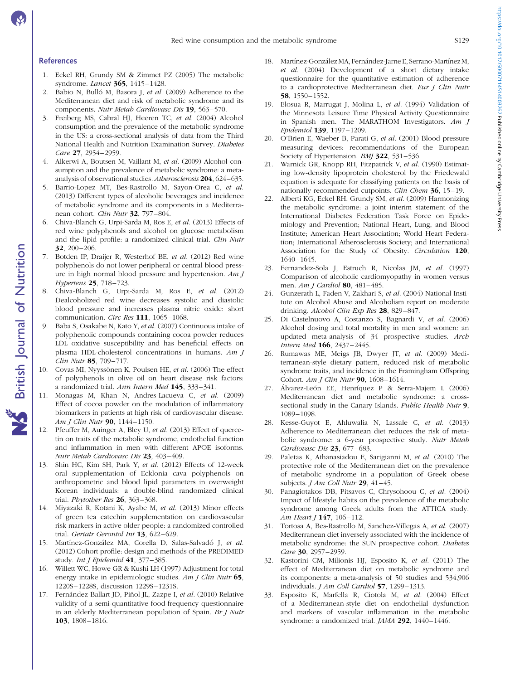#### References

- 1. Eckel RH, Grundy SM & Zimmet PZ (2005) The metabolic syndrome. Lancet 365, 1415–1428.
- 2. Babio N, Bulló M, Basora J, et al. (2009) Adherence to the Mediterranean diet and risk of metabolic syndrome and its components. Nutr Metab Cardiovasc Dis 19, 563–570.
- 3. Freiberg MS, Cabral HJ, Heeren TC, et al. (2004) Alcohol consumption and the prevalence of the metabolic syndrome in the US: a cross-sectional analysis of data from the Third National Health and Nutrition Examination Survey. Diabetes Care 27, 2954-2959.
- 4. Alkerwi A, Boutsen M, Vaillant M, et al. (2009) Alcohol consumption and the prevalence of metabolic syndrome: a metaanalysis of observational studies. Atherosclerosis 204, 624–635.
- 5. Barrio-Lopez MT, Bes-Rastrollo M, Sayon-Orea C, et al. (2013) Different types of alcoholic beverages and incidence of metabolic syndrome and its components in a Mediterranean cohort. Clin Nutr 32, 797–804.
- 6. Chiva-Blanch G, Urpi-Sarda M, Ros E, et al. (2013) Effects of red wine polyphenols and alcohol on glucose metabolism and the lipid profile: a randomized clinical trial. Clin Nutr 32, 200–206.
- 7. Botden IP, Draijer R, Westerhof BE, et al. (2012) Red wine polyphenols do not lower peripheral or central blood pressure in high normal blood pressure and hypertension. Am J Hypertens 25, 718–723.
- 8. Chiva-Blanch G, Urpi-Sarda M, Ros E, et al. (2012) Dealcoholized red wine decreases systolic and diastolic blood pressure and increases plasma nitric oxide: short communication. Circ Res 111, 1065-1068.
- 9. Baba S, Osakabe N, Kato Y, et al. (2007) Continuous intake of polyphenolic compounds containing cocoa powder reduces LDL oxidative susceptibility and has beneficial effects on plasma HDL-cholesterol concentrations in humans. Am J Clin Nutr 85, 709–717.
- 10. Covas MI, Nyyssönen K, Poulsen HE, et al. (2006) The effect of polyphenols in olive oil on heart disease risk factors: a randomized trial. Ann Intern Med 145, 333–341.
- 11. Monagas M, Khan N, Andres-Lacueva C, et al. (2009) Effect of cocoa powder on the modulation of inflammatory biomarkers in patients at high risk of cardiovascular disease. Am J Clin Nutr 90, 1144–1150.
- 12. Pfeuffer M, Auinger A, Bley U, et al. (2013) Effect of quercetin on traits of the metabolic syndrome, endothelial function and inflammation in men with different APOE isoforms. Nutr Metab Cardiovasc Dis 23, 403–409.
- 13. Shin HC, Kim SH, Park Y, et al. (2012) Effects of 12-week oral supplementation of Ecklonia cava polyphenols on anthropometric and blood lipid parameters in overweight Korean individuals: a double-blind randomized clinical trial. Phytother Res 26, 363-368.
- 14. Miyazaki R, Kotani K, Ayabe M, et al. (2013) Minor effects of green tea catechin supplementation on cardiovascular risk markers in active older people: a randomized controlled trial. Geriatr Gerontol Int 13, 622-629.
- 15. Martínez-González MA, Corella D, Salas-Salvadó J, et al. (2012) Cohort profile: design and methods of the PREDIMED study. Int J Epidemiol 41, 377-385.
- 16. Willett WC, Howe GR & Kushi LH (1997) Adjustment for total energy intake in epidemiologic studies. Am J Clin Nutr 65, 1220S–1228S, discussion 1229S–1231S.
- 17. Fernández-Ballart JD, Piñol JL, Zazpe I, et al. (2010) Relative validity of a semi-quantitative food-frequency questionnaire in an elderly Mediterranean population of Spain. Br J Nutr 103, 1808–1816.
- 18. Martínez-González MA, Fernández-Jarne E, Serrano-Martínez M, et al. (2004) Development of a short dietary intake questionnaire for the quantitative estimation of adherence to a cardioprotective Mediterranean diet. Eur J Clin Nutr 58, 1550–1552.
- 19. Elosua R, Marrugat J, Molina L, et al. (1994) Validation of the Minnesota Leisure Time Physical Activity Questionnaire in Spanish men. The MARATHOM Investigators. Am J Epidemiol 139, 1197–1209.
- 20. O'Brien E, Waeber B, Parati G, et al. (2001) Blood pressure measuring devices: recommendations of the European Society of Hypertension. BMJ 322, 531-536.
- 21. Warnick GR, Knopp RH, Fitzpatrick V, et al. (1990) Estimating low-density lipoprotein cholesterol by the Friedewald equation is adequate for classifying patients on the basis of nationally recommended cutpoints. Clin Chem 36, 15–19.
- 22. Alberti KG, Eckel RH, Grundy SM, et al. (2009) Harmonizing the metabolic syndrome: a joint interim statement of the International Diabetes Federation Task Force on Epidemiology and Prevention; National Heart, Lung, and Blood Institute; American Heart Association; World Heart Federation; International Atherosclerosis Society; and International Association for the Study of Obesity. Circulation 120, 1640–1645.
- 23. Fernandez-Sola J, Estruch R, Nicolas JM, et al. (1997) Comparison of alcoholic cardiomyopathy in women versus men. Am J Cardiol 80, 481-485.
- 24. Gunzerath L, Faden V, Zakhari S, et al. (2004) National Institute on Alcohol Abuse and Alcoholism report on moderate drinking. Alcohol Clin Exp Res 28, 829-847.
- 25. Di Castelnuovo A, Costanzo S, Bagnardi V, et al. (2006) Alcohol dosing and total mortality in men and women: an updated meta-analysis of 34 prospective studies. Arch Intern Med 166, 2437–2445.
- 26. Rumawas ME, Meigs JB, Dwyer JT, et al. (2009) Mediterranean-style dietary pattern, reduced risk of metabolic syndrome traits, and incidence in the Framingham Offspring Cohort. Am J Clin Nutr 90, 1608–1614.
- 27. Álvarez-León EE, Henríquez P & Serra-Majem L (2006) Mediterranean diet and metabolic syndrome: a crosssectional study in the Canary Islands. Public Health Nutr 9, 1089–1098.
- 28. Kesse-Guyot E, Ahluwalia N, Lassale C, et al. (2013) Adherence to Mediterranean diet reduces the risk of metabolic syndrome: a 6-year prospective study. Nutr Metab Cardiovasc Dis 23, 677–683.
- 29. Paletas K, Athanasiadou E, Sarigianni M, et al. (2010) The protective role of the Mediterranean diet on the prevalence of metabolic syndrome in a population of Greek obese subjects. *J Am Coll Nutr* 29,  $41-45$ .
- 30. Panagiotakos DB, Pitsavos C, Chrysohoou C, et al. (2004) Impact of lifestyle habits on the prevalence of the metabolic syndrome among Greek adults from the ATTICA study. Am Heart J  $147, 106 - 112$ .
- 31. Tortosa A, Bes-Rastrollo M, Sanchez-Villegas A, et al. (2007) Mediterranean diet inversely associated with the incidence of metabolic syndrome: the SUN prospective cohort. Diabetes Care 30, 2957-2959.
- 32. Kastorini CM, Milionis HJ, Esposito K, et al. (2011) The effect of Mediterranean diet on metabolic syndrome and its components: a meta-analysis of 50 studies and 534,906 individuals. J Am Coll Cardiol 57, 1299–1313.
- 33. Esposito K, Marfella R, Ciotola M, et al. (2004) Effect of a Mediterranean-style diet on endothelial dysfunction and markers of vascular inflammation in the metabolic syndrome: a randomized trial. JAMA 292, 1440-1446.